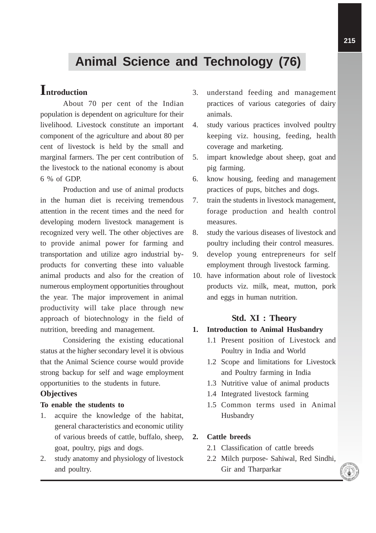# **Animal Science and Technology (76)**

## **Introduction**

About 70 per cent of the Indian population is dependent on agriculture for their livelihood. Livestock constitute an important component of the agriculture and about 80 per cent of livestock is held by the small and marginal farmers. The per cent contribution of the livestock to the national economy is about 6 % of GDP.

Production and use of animal products in the human diet is receiving tremendous attention in the recent times and the need for developing modern livestock management is recognized very well. The other objectives are to provide animal power for farming and transportation and utilize agro industrial byproducts for converting these into valuable animal products and also for the creation of numerous employment opportunities throughout the year. The major improvement in animal productivity will take place through new approach of biotechnology in the field of nutrition, breeding and management.

Considering the existing educational status at the higher secondary level it is obvious that the Animal Science course would provide strong backup for self and wage employment opportunities to the students in future.

#### **Objectives**

#### **To enable the students to**

- 1. acquire the knowledge of the habitat, general characteristics and economic utility of various breeds of cattle, buffalo, sheep, goat, poultry, pigs and dogs.
- 2. study anatomy and physiology of livestock and poultry.
- 3. understand feeding and management practices of various categories of dairy animals.
- 4. study various practices involved poultry keeping viz. housing, feeding, health coverage and marketing.
- 5. impart knowledge about sheep, goat and pig farming.
- 6. know housing, feeding and management practices of pups, bitches and dogs.
- 7. train the students in livestock management, forage production and health control measures.
- 8. study the various diseases of livestock and poultry including their control measures.
- 9. develop young entrepreneurs for self employment through livestock farming.
- 10. have information about role of livestock products viz. milk, meat, mutton, pork and eggs in human nutrition.

#### **Std. XI : Theory**

#### **1. Introduction to Animal Husbandry**

- 1.1 Present position of Livestock and Poultry in India and World
- 1.2 Scope and limitations for Livestock and Poultry farming in India
- 1.3 Nutritive value of animal products
- 1.4 Integrated livestock farming
- 1.5 Common terms used in Animal Husbandry

#### **2. Cattle breeds**

- 2.1 Classification of cattle breeds
- 2.2 Milch purpose- Sahiwal, Red Sindhi, Gir and Tharparkar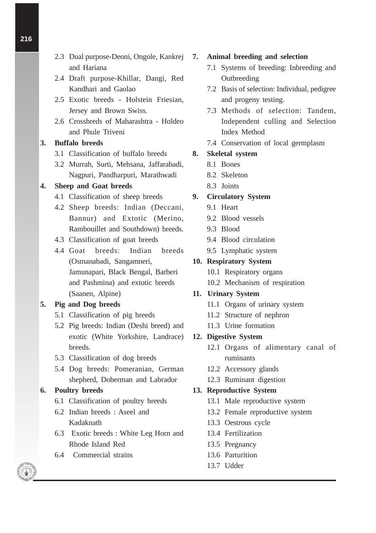- 2.3 Dual purpose-Deoni, Ongole, Kankrej and Hariana
- 2.4 Draft purpose-Khillar, Dangi, Red Kandhari and Gaolao
- 2.5 Exotic breeds Holstein Friesian, Jersey and Brown Swiss.
- 2.6 Crossbreds of Maharashtra Holdeo and Phule Triveni

#### **3. Buffalo breeds**

- 3.1 Classification of buffalo breeds
- 3.2 Murrah, Surti, Mehsana, Jaffarabadi, Nagpuri, Pandharpuri, Marathwadi

#### **4. Sheep and Goat breeds**

- 4.1 Classification of sheep breeds
- 4.2 Sheep breeds: Indian (Deccani, Bannur) and Extotic (Merino, Rambouillet and Southdown) breeds.
- 4.3 Classification of goat breeds
- 4.4 Goat breeds: Indian breeds (Osmanabadi, Sangamneri, Jamunapari, Black Bengal, Barberi and Pashmina) and extotic breeds (Saanen, Alpine)

#### **5. Pig and Dog breeds**

- 5.1 Classification of pig breeds
- 5.2 Pig breeds: Indian (Deshi breed) and exotic (White Yorkshire, Landrace) breeds.
- 5.3 Classification of dog breeds
- 5.4 Dog breeds: Pomeranian, German shepherd, Doberman and Labrador

#### **6. Poultry breeds**

- 6.1 Classification of poultry breeds
- 6.2 Indian breeds : Aseel and Kadaknath
- 6.3 Exotic breeds : White Leg Horn and Rhode Island Red
- 6.4 Commercial strains

#### **7. Animal breeding and selection**

- 7.1 Systems of breeding: Inbreeding and **Outbreeding**
- 7.2 Basis of selection: Individual, pedigree and progeny testing.
- 7.3 Methods of selection: Tandem, Independent culling and Selection Index Method
- 7.4 Conservation of local germplasm

#### **8. Skeletal system**

- 8.1 Bones
- 8.2 Skeleton
- 8.3 Joints

#### **9. Circulatory System**

- 9.1 Heart
- 9.2 Blood vessels
- 9.3 Blood
- 9.4 Blood circulation
- 9.5 Lymphatic system

#### **10. Respiratory System**

- 10.1 Respiratory organs
- 10.2 Mechanism of respiration

#### **11. Urinary System**

- 11.1 Organs of urinary system
- 11.2 Structure of nephron
- 11.3 Urine formation

#### **12. Digestive System**

- 12.1 Organs of alimentary canal of ruminants
- 12.2 Accessory glands
- 12.3 Ruminant digestion

#### **13. Reproductive System**

- 13.1 Male reproductive system
- 13.2 Female reproductive system
- 13.3 Oestrous cycle
- 13.4 Fertilization
- 13.5 Pregnancy
- 13.6 Parturition
- 13.7 Udder



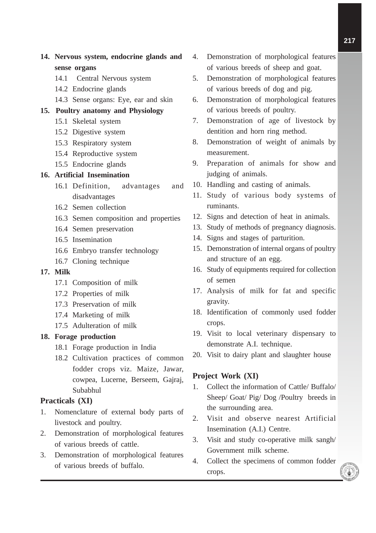## **14. Nervous system, endocrine glands and sense organs**

- 14.1 Central Nervous system
- 14.2 Endocrine glands
- 14.3 Sense organs: Eye, ear and skin

#### **15. Poultry anatomy and Physiology**

- 15.1 Skeletal system
- 15.2 Digestive system
- 15.3 Respiratory system
- 15.4 Reproductive system
- 15.5 Endocrine glands

#### **16. Artificial Insemination**

- 16.1 Definition, advantages and disadvantages
- 16.2 Semen collection
- 16.3 Semen composition and properties
- 16.4 Semen preservation
- 16.5 Insemination
- 16.6 Embryo transfer technology
- 16.7 Cloning technique

#### **17. Milk**

- 17.1 Composition of milk
- 17.2 Properties of milk
- 17.3 Preservation of milk
- 17.4 Marketing of milk
- 17.5 Adulteration of milk

#### **18. Forage production**

- 18.1 Forage production in India
- 18.2 Cultivation practices of common fodder crops viz. Maize, Jawar, cowpea, Lucerne, Berseem, Gajraj, Subabhul

#### **Practicals (XI)**

- 1. Nomenclature of external body parts of livestock and poultry.
- 2. Demonstration of morphological features of various breeds of cattle.
- 3. Demonstration of morphological features of various breeds of buffalo.
- 4. Demonstration of morphological features of various breeds of sheep and goat.
- 5. Demonstration of morphological features of various breeds of dog and pig.
- 6. Demonstration of morphological features of various breeds of poultry.
- 7. Demonstration of age of livestock by dentition and horn ring method.
- 8. Demonstration of weight of animals by measurement.
- 9. Preparation of animals for show and judging of animals.
- 10. Handling and casting of animals.
- 11. Study of various body systems of ruminants.
- 12. Signs and detection of heat in animals.
- 13. Study of methods of pregnancy diagnosis.
- 14. Signs and stages of parturition.
- 15. Demonstration of internal organs of poultry and structure of an egg.
- 16. Study of equipments required for collection of semen
- 17. Analysis of milk for fat and specific gravity.
- 18. Identification of commonly used fodder crops.
- 19. Visit to local veterinary dispensary to demonstrate A.I. technique.
- 20. Visit to dairy plant and slaughter house

#### **Project Work (XI)**

- 1. Collect the information of Cattle/ Buffalo/ Sheep/ Goat/ Pig/ Dog /Poultry breeds in the surrounding area.
- 2. Visit and observe nearest Artificial Insemination (A.I.) Centre.
- 3. Visit and study co-operative milk sangh/ Government milk scheme.
- 4. Collect the specimens of common fodder crops.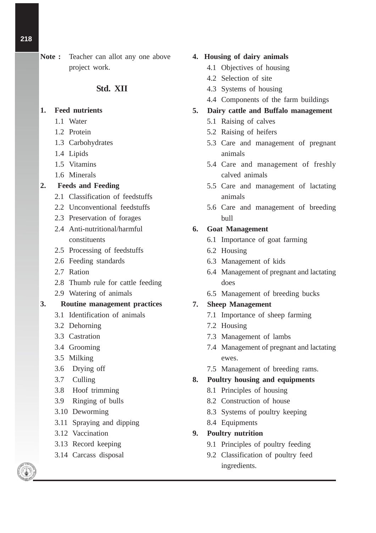## **Note :** Teacher can allot any one above project work.

## **Std. XII**

## **1. Feed nutrients**

- 1.1 Water
- 1.2 Protein
- 1.3 Carbohydrates
- 1.4 Lipids
- 1.5 Vitamins
- 1.6 Minerals

## **2. Feeds and Feeding**

- 2.1 Classification of feedstuffs
- 2.2 Unconventional feedstuffs
- 2.3 Preservation of forages
- 2.4 Anti-nutritional/harmful constituents
- 2.5 Processing of feedstuffs
- 2.6 Feeding standards
- 2.7 Ration
- 2.8 Thumb rule for cattle feeding
- 2.9 Watering of animals
- **3. Routine management practices**
	- 3.1 Identification of animals
	- 3.2 Dehorning
	- 3.3 Castration
	- 3.4 Grooming
	- 3.5 Milking
	- 3.6 Drying off
	- 3.7 Culling
	- 3.8 Hoof trimming
	- 3.9 Ringing of bulls
	- 3.10 Deworming
	- 3.11 Spraying and dipping
	- 3.12 Vaccination
	- 3.13 Record keeping
	- 3.14 Carcass disposal

## **4. Housing of dairy animals**

- 4.1 Objectives of housing
- 4.2 Selection of site
- 4.3 Systems of housing
- 4.4 Components of the farm buildings

## **5. Dairy cattle and Buffalo management**

- 5.1 Raising of calves
- 5.2 Raising of heifers
- 5.3 Care and management of pregnant animals
- 5.4 Care and management of freshly calved animals
- 5.5 Care and management of lactating animals
- 5.6 Care and management of breeding bull

## **6. Goat Management**

- 6.1 Importance of goat farming
- 6.2 Housing
- 6.3 Management of kids
- 6.4 Management of pregnant and lactating does
- 6.5 Management of breeding bucks

## **7. Sheep Management**

- 7.1 Importance of sheep farming
- 7.2 Housing
- 7.3 Management of lambs
- 7.4 Management of pregnant and lactating ewes.
- 7.5 Management of breeding rams.

## **8. Poultry housing and equipments**

- 8.1 Principles of housing
- 8.2 Construction of house
- 8.3 Systems of poultry keeping
- 8.4 Equipments

## **9. Poultry nutrition**

- 9.1 Principles of poultry feeding
- 9.2 Classification of poultry feed ingredients.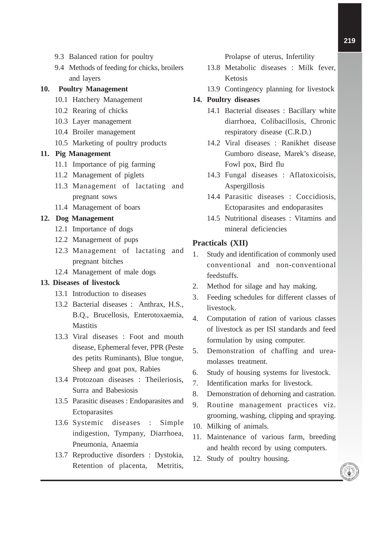- 9.3 Balanced ration for poultry
- 9.4 Methods of feeding for chicks, broilers and layers

#### **10. Poultry Management**

- 10.1 Hatchery Management
- 10.2 Rearing of chicks
- 10.3 Layer management
- 10.4 Broiler management
- 10.5 Marketing of poultry products

#### **11. Pig Management**

- 11.1 Importance of pig farming
- 11.2 Management of piglets
- 11.3 Management of lactating and pregnant sows
- 11.4 Management of boars

#### **12. Dog Management**

- 12.1 Importance of dogs
- 12.2 Management of pups
- 12.3 Management of lactating and pregnant bitches
- 12.4 Management of male dogs

#### **13. Diseases of livestock**

- 13.1 Introduction to diseases
- 13.2 Bacterial diseases : Anthrax, H.S., B.Q., Brucellosis, Enterotoxaemia, **Mastitis**
- 13.3 Viral diseases : Foot and mouth disease, Ephemeral fever, PPR (Peste des petits Ruminants), Blue tongue, Sheep and goat pox, Rabies
- 13.4 Protozoan diseases : Theileriosis, Surra and Babesiosis
- 13.5 Parasitic diseases : Endoparasites and **Ectoparasites**
- 13.6 Systemic diseases : Simple indigestion, Tympany, Diarrhoea, Pneumonia, Anaemia
- 13.7 Reproductive disorders : Dystokia, Retention of placenta, Metritis,

Prolapse of uterus, Infertility

- 13.8 Metabolic diseases : Milk fever, Ketosis
- 13.9 Contingency planning for livestock

#### **14. Poultry diseases**

- 14.1 Bacterial diseases : Bacillary white diarrhoea, Colibacillosis, Chronic respiratory disease (C.R.D.)
- 14.2 Viral diseases : Ranikhet disease Gumboro disease, Marek's disease, Fowl pox, Bird flu
- 14.3 Fungal diseases : Aflatoxicoisis, Aspergillosis
- 14.4 Parasitic diseases : Coccidiosis, Ectoparasites and endoparasites
- 14.5 Nutritional diseases : Vitamins and mineral deficiencies

#### **Practicals (XII)**

- 1. Study and identification of commonly used conventional and non-conventional feedstuffs.
- 2. Method for silage and hay making.
- 3. Feeding schedules for different classes of livestock.
- 4. Computation of ration of various classes of livestock as per ISI standards and feed formulation by using computer.
- 5. Demonstration of chaffing and ureamolasses treatment.
- 6. Study of housing systems for livestock.
- 7. Identification marks for livestock.
- 8. Demonstration of dehorning and castration.
- 9. Routine management practices viz. grooming, washing, clipping and spraying.
- 10. Milking of animals.
- 11. Maintenance of various farm, breeding and health record by using computers.
- 12. Study of poultry housing.